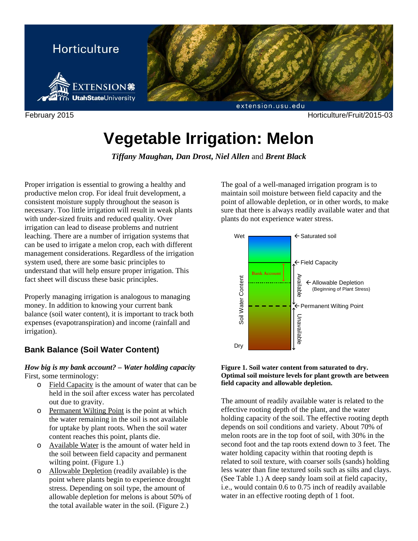

# **Vegetable Irrigation: Melon**

*Tiffany Maughan, Dan Drost***,** *Niel Allen* and *Brent Black* 

Proper irrigation is essential to growing a healthy and productive melon crop. For ideal fruit development, a consistent moisture supply throughout the season is necessary. Too little irrigation will result in weak plants with under-sized fruits and reduced quality. Over irrigation can lead to disease problems and nutrient leaching. There are a number of irrigation systems that can be used to irrigate a melon crop, each with different management considerations. Regardless of the irrigation system used, there are some basic principles to understand that will help ensure proper irrigation. This fact sheet will discuss these basic principles.

Properly managing irrigation is analogous to managing money. In addition to knowing your current bank balance (soil water content), it is important to track both expenses (evapotranspiration) and income (rainfall and irrigation).

# **Bank Balance (Soil Water Content)**

## *How big is my bank account? – Water holding capacity*  First, some terminology:

- o Field Capacity is the amount of water that can be held in the soil after excess water has percolated out due to gravity.
- o Permanent Wilting Point is the point at which the water remaining in the soil is not available for uptake by plant roots. When the soil water content reaches this point, plants die.
- o Available Water is the amount of water held in the soil between field capacity and permanent wilting point. (Figure 1.)
- o Allowable Depletion (readily available) is the point where plants begin to experience drought stress. Depending on soil type, the amount of allowable depletion for melons is about 50% of the total available water in the soil. (Figure 2.)

The goal of a well-managed irrigation program is to maintain soil moisture between field capacity and the point of allowable depletion, or in other words, to make sure that there is always readily available water and that plants do not experience water stress.



#### **Figure 1. Soil water content from saturated to dry. Optimal soil moisture levels for plant growth are between field capacity and allowable depletion.**

The amount of readily available water is related to the effective rooting depth of the plant, and the water holding capacity of the soil. The effective rooting depth depends on soil conditions and variety. About 70% of melon roots are in the top foot of soil, with 30% in the second foot and the tap roots extend down to 3 feet. The water holding capacity within that rooting depth is related to soil texture, with coarser soils (sands) holding less water than fine textured soils such as silts and clays. (See Table 1.) A deep sandy loam soil at field capacity, i.e., would contain 0.6 to 0.75 inch of readily available water in an effective rooting depth of 1 foot.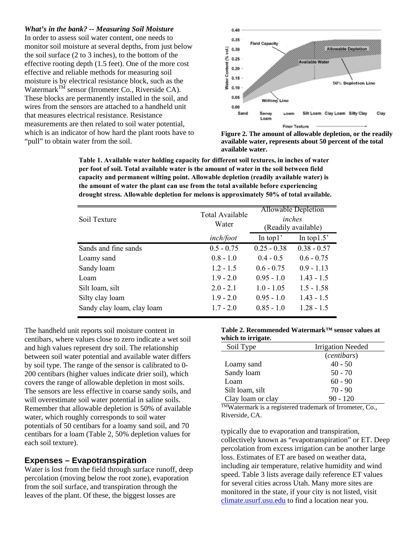#### *What's in the bank? -- Measuring Soil Moisture*

In order to assess soil water content, one needs to monitor soil moisture at several depths, from just below the soil surface (2 to 3 inches), to the bottom of the effective rooting depth (1.5 feet). One of the more cost effective and reliable methods for measuring soil moisture is by electrical resistance block, such as the Watermark<sup>TM</sup> sensor (Irrometer Co., Riverside CA). These blocks are permanently installed in the soil, and wires from the sensors are attached to a handheld unit that measures electrical resistance. Resistance measurements are then related to soil water potential, which is an indicator of how hard the plant roots have to "pull" to obtain water from the soil.





**Table 1. Available water holding capacity for different soil textures, in inches of water per foot of soil. Total available water is the amount of water in the soil between field capacity and permanent wilting point. Allowable depletion (readily available water) is the amount of water the plant can use from the total available before experiencing drought stress. Allowable depletion for melons is approximately 50% of total available.**

| Soil Texture               | Total Available<br>Water | Allowable Depletion<br>inches<br>(Readily available) |               |
|----------------------------|--------------------------|------------------------------------------------------|---------------|
|                            | inch/foot                | In top $1$ '                                         | In top $1.5$  |
| Sands and fine sands       | $0.5 - 0.75$             | $0.25 - 0.38$                                        | $0.38 - 0.57$ |
| Loamy sand                 | $0.8 - 1.0$              | $0.4 - 0.5$                                          | $0.6 - 0.75$  |
| Sandy loam                 | $1.2 - 1.5$              | $0.6 - 0.75$                                         | $0.9 - 1.13$  |
| Loam                       | $1.9 - 2.0$              | $0.95 - 1.0$                                         | $1.43 - 1.5$  |
| Silt loam, silt            | $2.0 - 2.1$              | $1.0 - 1.05$                                         | $1.5 - 1.58$  |
| Silty clay loam            | $1.9 - 2.0$              | $0.95 - 1.0$                                         | $1.43 - 1.5$  |
| Sandy clay loam, clay loam | $1.7 - 2.0$              | $0.85 - 1.0$                                         | $1.28 - 1.5$  |

The handheld unit reports soil moisture content in centibars, where values close to zero indicate a wet soil and high values represent dry soil. The relationship between soil water potential and available water differs by soil type. The range of the sensor is calibrated to 0- 200 centibars (higher values indicate drier soil), which covers the range of allowable depletion in most soils. The sensors are less effective in coarse sandy soils, and will overestimate soil water potential in saline soils. Remember that allowable depletion is 50% of available water, which roughly corresponds to soil water potentials of 50 centibars for a loamy sand soil, and 70 centibars for a loam (Table 2, 50% depletion values for each soil texture).

## **Expenses – Evapotranspiration**

Water is lost from the field through surface runoff, deep percolation (moving below the root zone), evaporation from the soil surface, and transpiration through the leaves of the plant. Of these, the biggest losses are

#### **Table 2. Recommended Watermark™ sensor values at which to irrigate.**

| Soil Type         | <b>Irrigation Needed</b> |  |
|-------------------|--------------------------|--|
|                   | ( <i>centibars</i> )     |  |
| Loamy sand        | $40 - 50$                |  |
| Sandy loam        | $50 - 70$                |  |
| Loam              | $60 - 90$                |  |
| Silt loam, silt   | $70 - 90$                |  |
| Clay loam or clay | $90 - 120$               |  |

TMWatermark is a registered trademark of Irrometer, Co., Riverside, CA.

typically due to evaporation and transpiration, collectively known as "evapotranspiration" or ET. Deep percolation from excess irrigation can be another large loss. Estimates of ET are based on weather data, including air temperature, relative humidity and wind speed. Table 3 lists average daily reference ET values for several cities across Utah. Many more sites are monitored in the state, if your city is not listed, visit climate.usurf.usu.edu to find a location near you.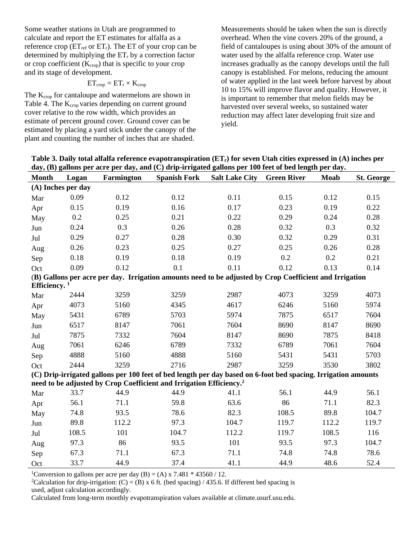Some weather stations in Utah are programmed to calculate and report the ET estimates for alfalfa as a reference crop ( $ET_{ref}$  or  $ET_r$ ). The ET of your crop can be determined by multiplying the  $ET_r$  by a correction factor or crop coefficient  $(K_{\text{crop}})$  that is specific to your crop and its stage of development.

$$
ET_{crop}=ET_r\times K_{crop}
$$

The K<sub>crop</sub> for cantaloupe and watermelons are shown in Table 4. The K<sub>crop</sub> varies depending on current ground cover relative to the row width, which provides an estimate of percent ground cover. Ground cover can be estimated by placing a yard stick under the canopy of the plant and counting the number of inches that are shaded.

Measurements should be taken when the sun is directly overhead. When the vine covers 20% of the ground, a field of cantaloupes is using about 30% of the amount of water used by the alfalfa reference crop. Water use increases gradually as the canopy develops until the full canopy is established. For melons, reducing the amount of water applied in the last week before harvest by about 10 to 15% will improve flavor and quality. However, it is important to remember that melon fields may be harvested over several weeks, so sustained water reduction may affect later developing fruit size and yield.

**Table 3. Daily total alfalfa reference evapotranspiration (ETr) for seven Utah cities expressed in (A) inches per day, (B) gallons per acre per day, and (C) drip-irrigated gallons per 100 feet of bed length per day.** 

| <b>Month</b>                                                                                            | Logan | Farmington | <b>Spanish Fork</b>                                                             | <b>Salt Lake City</b>                                                                                         | <b>Green River</b> | Moab  | <b>St. George</b> |
|---------------------------------------------------------------------------------------------------------|-------|------------|---------------------------------------------------------------------------------|---------------------------------------------------------------------------------------------------------------|--------------------|-------|-------------------|
| (A) Inches per day                                                                                      |       |            |                                                                                 |                                                                                                               |                    |       |                   |
| Mar                                                                                                     | 0.09  | 0.12       | 0.12                                                                            | 0.11                                                                                                          | 0.15               | 0.12  | 0.15              |
| Apr                                                                                                     | 0.15  | 0.19       | 0.16                                                                            | 0.17                                                                                                          | 0.23               | 0.19  | 0.22              |
| May                                                                                                     | 0.2   | 0.25       | 0.21                                                                            | 0.22                                                                                                          | 0.29               | 0.24  | 0.28              |
| Jun                                                                                                     | 0.24  | 0.3        | 0.26                                                                            | 0.28                                                                                                          | 0.32               | 0.3   | 0.32              |
| Jul                                                                                                     | 0.29  | 0.27       | 0.28                                                                            | 0.30                                                                                                          | 0.32               | 0.29  | 0.31              |
| Aug                                                                                                     | 0.26  | 0.23       | 0.25                                                                            | 0.27                                                                                                          | 0.25               | 0.26  | 0.28              |
| Sep                                                                                                     | 0.18  | 0.19       | 0.18                                                                            | 0.19                                                                                                          | 0.2                | 0.2   | 0.21              |
| Oct                                                                                                     | 0.09  | 0.12       | 0.1                                                                             | 0.11                                                                                                          | 0.12               | 0.13  | 0.14              |
| (B) Gallons per acre per day. Irrigation amounts need to be adjusted by Crop Coefficient and Irrigation |       |            |                                                                                 |                                                                                                               |                    |       |                   |
| Efficiency. $1$                                                                                         |       |            |                                                                                 |                                                                                                               |                    |       |                   |
| Mar                                                                                                     | 2444  | 3259       | 3259                                                                            | 2987                                                                                                          | 4073               | 3259  | 4073              |
| Apr                                                                                                     | 4073  | 5160       | 4345                                                                            | 4617                                                                                                          | 6246               | 5160  | 5974              |
| May                                                                                                     | 5431  | 6789       | 5703                                                                            | 5974                                                                                                          | 7875               | 6517  | 7604              |
| Jun                                                                                                     | 6517  | 8147       | 7061                                                                            | 7604                                                                                                          | 8690               | 8147  | 8690              |
| Jul                                                                                                     | 7875  | 7332       | 7604                                                                            | 8147                                                                                                          | 8690               | 7875  | 8418              |
| Aug                                                                                                     | 7061  | 6246       | 6789                                                                            | 7332                                                                                                          | 6789               | 7061  | 7604              |
| Sep                                                                                                     | 4888  | 5160       | 4888                                                                            | 5160                                                                                                          | 5431               | 5431  | 5703              |
| Oct                                                                                                     | 2444  | 3259       | 2716                                                                            | 2987                                                                                                          | 3259               | 3530  | 3802              |
|                                                                                                         |       |            |                                                                                 | (C) Drip-irrigated gallons per 100 feet of bed length per day based on 6-foot bed spacing. Irrigation amounts |                    |       |                   |
|                                                                                                         |       |            | need to be adjusted by Crop Coefficient and Irrigation Efficiency. <sup>2</sup> |                                                                                                               |                    |       |                   |
| Mar                                                                                                     | 33.7  | 44.9       | 44.9                                                                            | 41.1                                                                                                          | 56.1               | 44.9  | 56.1              |
| Apr                                                                                                     | 56.1  | 71.1       | 59.8                                                                            | 63.6                                                                                                          | 86                 | 71.1  | 82.3              |
| May                                                                                                     | 74.8  | 93.5       | 78.6                                                                            | 82.3                                                                                                          | 108.5              | 89.8  | 104.7             |
| Jun                                                                                                     | 89.8  | 112.2      | 97.3                                                                            | 104.7                                                                                                         | 119.7              | 112.2 | 119.7             |
| Jul                                                                                                     | 108.5 | 101        | 104.7                                                                           | 112.2                                                                                                         | 119.7              | 108.5 | 116               |
| Aug                                                                                                     | 97.3  | 86         | 93.5                                                                            | 101                                                                                                           | 93.5               | 97.3  | 104.7             |
| Sep                                                                                                     | 67.3  | 71.1       | 67.3                                                                            | 71.1                                                                                                          | 74.8               | 74.8  | 78.6              |
| Oct                                                                                                     | 33.7  | 44.9       | 37.4                                                                            | 41.1                                                                                                          | 44.9               | 48.6  | 52.4              |

<sup>1</sup>Conversion to gallons per acre per day (B) = (A) x 7.481  $*$  43560 / 12.

<sup>2</sup>Calculation for drip-irrigation: (C) = (B) x 6 ft. (bed spacing) / 435.6. If different bed spacing is used, adjust calculation accordingly.

Calculated from long-term monthly evapotranspiration values available at climate.usurf.usu.edu.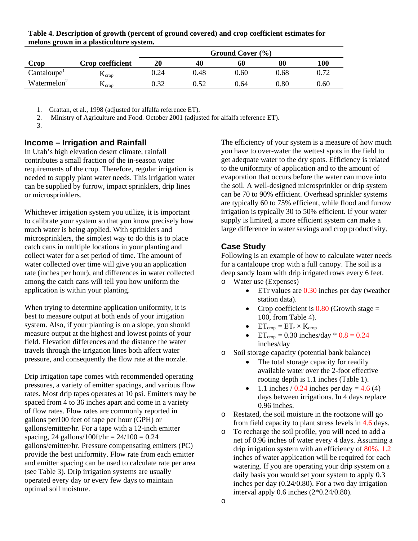|                         |                            | Ground Cover (%) |      |      |            |          |
|-------------------------|----------------------------|------------------|------|------|------------|----------|
| Crop                    | Crop coefficient           | 20               | 40   | 60   | 80         | 100      |
| Cantaloupe <sup>1</sup> | $\Gamma$ <sub>Crop</sub>   | 0.24             | 0.48 | 0.60 | 0.68       | 0.72     |
| Watermelon <sup>2</sup> | $\mathbf{r}_{\text{crop}}$ | በ 32             | 0.52 | 0.64 | $\rm 0.80$ | $0.60\,$ |

**Table 4. Description of growth (percent of ground covered) and crop coefficient estimates for melons grown in a plasticulture system.** 

1. Grattan, et al., 1998 (adjusted for alfalfa reference ET).

2. Ministry of Agriculture and Food. October 2001 (adjusted for alfalfa reference ET).

3.

# **Income – Irrigation and Rainfall**

In Utah's high elevation desert climate, rainfall contributes a small fraction of the in-season water requirements of the crop. Therefore, regular irrigation is needed to supply plant water needs. This irrigation water can be supplied by furrow, impact sprinklers, drip lines or microsprinklers.

Whichever irrigation system you utilize, it is important to calibrate your system so that you know precisely how much water is being applied. With sprinklers and microsprinklers, the simplest way to do this is to place catch cans in multiple locations in your planting and collect water for a set period of time. The amount of water collected over time will give you an application rate (inches per hour), and differences in water collected among the catch cans will tell you how uniform the application is within your planting.

When trying to determine application uniformity, it is best to measure output at both ends of your irrigation system. Also, if your planting is on a slope, you should measure output at the highest and lowest points of your field. Elevation differences and the distance the water travels through the irrigation lines both affect water pressure, and consequently the flow rate at the nozzle.

Drip irrigation tape comes with recommended operating pressures, a variety of emitter spacings, and various flow rates. Most drip tapes operates at 10 psi. Emitters may be spaced from 4 to 36 inches apart and come in a variety of flow rates. Flow rates are commonly reported in gallons per100 feet of tape per hour (GPH) or gallons/emitter/hr. For a tape with a 12-inch emitter spacing, 24 gallons/100ft/hr =  $24/100 = 0.24$ gallons/emitter/hr. Pressure compensating emitters (PC) provide the best uniformity. Flow rate from each emitter and emitter spacing can be used to calculate rate per area (see Table 3). Drip irrigation systems are usually operated every day or every few days to maintain optimal soil moisture.

The efficiency of your system is a measure of how much you have to over-water the wettest spots in the field to get adequate water to the dry spots. Efficiency is related to the uniformity of application and to the amount of evaporation that occurs before the water can move into the soil. A well-designed microsprinkler or drip system can be 70 to 90% efficient. Overhead sprinkler systems are typically 60 to 75% efficient, while flood and furrow irrigation is typically 30 to 50% efficient. If your water supply is limited, a more efficient system can make a large difference in water savings and crop productivity.

# **Case Study**

Following is an example of how to calculate water needs for a cantaloupe crop with a full canopy. The soil is a deep sandy loam with drip irrigated rows every 6 feet. o Water use (Expenses)

- $\bullet$  ETr values are  $0.30$  inches per day (weather station data).
- Crop coefficient is  $0.80$  (Growth stage = 100, from Table 4).
- $ET_{crop} = ET_r \times K_{crop}$
- ET<sub>crop</sub> = 0.30 inches/day  $*$  0.8 = 0.24 inches/day
- o Soil storage capacity (potential bank balance)
	- The total storage capacity for readily available water over the 2-foot effective rooting depth is 1.1 inches (Table 1).
	- 1.1 inches / 0.24 inches per day =  $4.6(4)$ days between irrigations. In 4 days replace 0.96 inches.
- o Restated, the soil moisture in the rootzone will go from field capacity to plant stress levels in 4.6 days.
- o To recharge the soil profile, you will need to add a net of 0.96 inches of water every 4 days. Assuming a drip irrigation system with an efficiency of 80%, 1.2 inches of water application will be required for each watering. If you are operating your drip system on a daily basis you would set your system to apply 0.3 inches per day (0.24/0.80). For a two day irrigation interval apply 0.6 inches (2\*0.24/0.80).